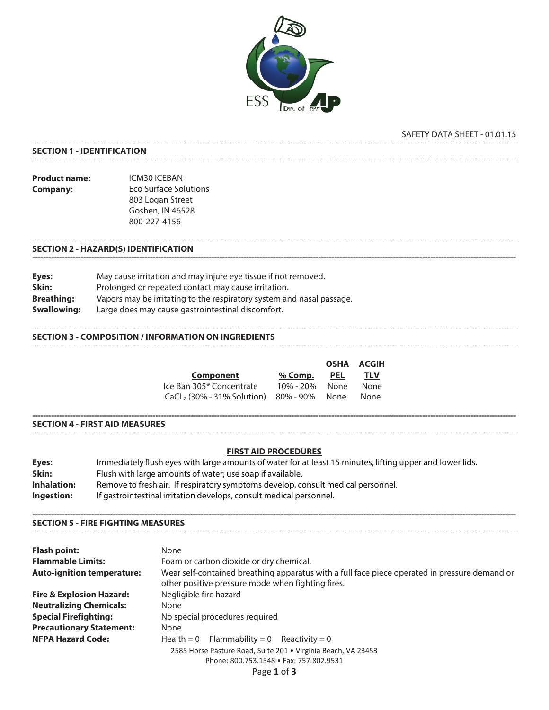

# SAFETY DATA SHEET - 01.01.15

### **SECTION 1 - IDENTIFICATION**

**Product name:** ICM30 ICEBAN **Eco Surface Solutions Company:** 803 Logan Street Goshen, IN 46528 800-227-4156

## **SECTION 2 - HAZARD(S) IDENTIFICATION**

| Eyes:              | May cause irritation and may injure eye tissue if not removed.        |
|--------------------|-----------------------------------------------------------------------|
| Skin:              | Prolonged or repeated contact may cause irritation.                   |
| <b>Breathing:</b>  | Vapors may be irritating to the respiratory system and nasal passage. |
| <b>Swallowing:</b> | Large does may cause gastrointestinal discomfort.                     |

## **SECTION 3 - COMPOSITION / INFORMATION ON INGREDIENTS**

|                                                 |           |            | OSHA ACGIH |
|-------------------------------------------------|-----------|------------|------------|
| Component                                       | $%$ Comp. | <u>PEL</u> | <u>TLV</u> |
| Ice Ban 305 <sup>®</sup> Concentrate            | 10% - 20% | None       | None       |
| $CaCL$ , (30% - 31% Solution) $80\%$ - 90% None |           |            | None       |

#### **SECTION 4 - FIRST AID MEASURES**

## **FIRST AID PROCEDURES**

| Eyes:              | Immediately flush eyes with large amounts of water for at least 15 minutes, lifting upper and lower lids. |
|--------------------|-----------------------------------------------------------------------------------------------------------|
| Skin:              | Flush with large amounts of water; use soap if available.                                                 |
| <b>Inhalation:</b> | Remove to fresh air. If respiratory symptoms develop, consult medical personnel.                          |
| Ingestion:         | If gastrointestinal irritation develops, consult medical personnel.                                       |

#### **SECTION 5 - FIRE FIGHTING MEASURES**

| <b>Flash point:</b>                 | None                                                                                                                                               |  |  |
|-------------------------------------|----------------------------------------------------------------------------------------------------------------------------------------------------|--|--|
| <b>Flammable Limits:</b>            | Foam or carbon dioxide or dry chemical.                                                                                                            |  |  |
| <b>Auto-ignition temperature:</b>   | Wear self-contained breathing apparatus with a full face piece operated in pressure demand or<br>other positive pressure mode when fighting fires. |  |  |
| <b>Fire &amp; Explosion Hazard:</b> | Negligible fire hazard                                                                                                                             |  |  |
| <b>Neutralizing Chemicals:</b>      | None                                                                                                                                               |  |  |
| <b>Special Firefighting:</b>        | No special procedures required                                                                                                                     |  |  |
| <b>Precautionary Statement:</b>     | None                                                                                                                                               |  |  |
| <b>NFPA Hazard Code:</b>            | Health = 0 Flammability = 0 Reactivity = 0                                                                                                         |  |  |
|                                     | 2585 Horse Pasture Road, Suite 201 . Virginia Beach, VA 23453<br>Phone: 800.753.1548 • Fax: 757.802.9531                                           |  |  |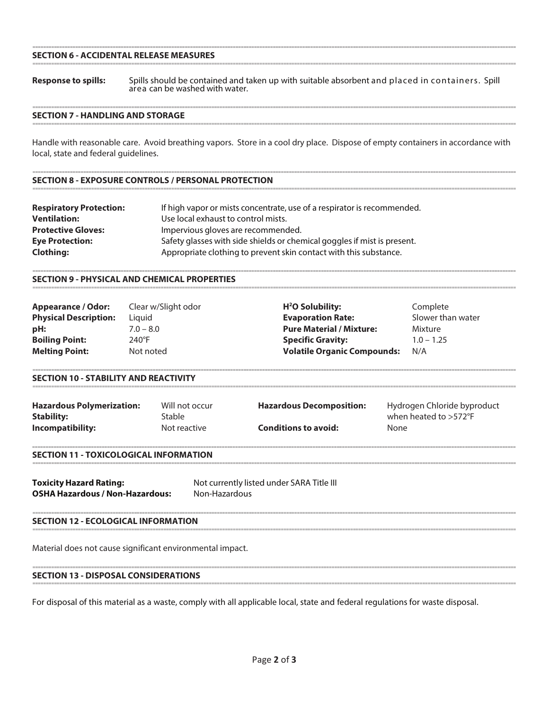### **SECTION 6 - ACCIDENTAL RELEASE MEASURES**

Spills should be contained and taken up with suitable absorbent and placed in containers. Spill area can be washed with water. **Response to spills:** 

### **SECTION 7 - HANDLING AND STORAGE**

Handle with reasonable care. Avoid breathing vapors. Store in a cool dry place. Dispose of empty containers in accordance with local, state and federal quidelines.

## **SECTION 8 - EXPOSURE CONTROLS / PERSONAL PROTECTION**

| <b>Respiratory Protection:</b> | If high vapor or mists concentrate, use of a respirator is recommended.  |
|--------------------------------|--------------------------------------------------------------------------|
| <b>Ventilation:</b>            | Use local exhaust to control mists.                                      |
| <b>Protective Gloves:</b>      | Impervious gloves are recommended.                                       |
| <b>Eye Protection:</b>         | Safety glasses with side shields or chemical goggles if mist is present. |
| <b>Clothing:</b>               | Appropriate clothing to prevent skin contact with this substance.        |

### **SECTION 9 - PHYSICAL AND CHEMICAL PROPERTIES**

| <b>Appearance / Odor:</b>    | Clear w/Slight odor | $H2O$ Solubility:                  | Complete          |
|------------------------------|---------------------|------------------------------------|-------------------|
| <b>Physical Description:</b> | Liguid              | <b>Evaporation Rate:</b>           | Slower than water |
| pH:                          | $7.0 - 8.0$         | <b>Pure Material / Mixture:</b>    | Mixture           |
| <b>Boiling Point:</b>        | $240^{\circ}$ F     | <b>Specific Gravity:</b>           | $1.0 - 1.25$      |
| <b>Melting Point:</b>        | Not noted           | <b>Volatile Organic Compounds:</b> | N/A               |

#### **SECTION 10 - STABILITY AND REACTIVITY**

| <b>Hazardous Polymerization:</b> | Will not occur | <b>Hazardous Decomposition:</b> | Hydrogen Chloride byproduct |
|----------------------------------|----------------|---------------------------------|-----------------------------|
| <b>Stability:</b>                | Stable         |                                 | when heated to $>572$ °F    |
| Incompatibility:                 | Not reactive   | <b>Conditions to avoid:</b>     | None                        |

#### **SECTION 11 - TOXICOLOGICAL INFORMATION**

| <b>Toxicity Hazard Rating:</b>         | Not currently listed under SARA Title III |
|----------------------------------------|-------------------------------------------|
| <b>OSHA Hazardous / Non-Hazardous:</b> | Non-Hazardous                             |

#### **SECTION 12 - ECOLOGICAL INFORMATION**

Material does not cause significant environmental impact.

### **SECTION 13 - DISPOSAL CONSIDERATIONS**

For disposal of this material as a waste, comply with all applicable local, state and federal regulations for waste disposal.